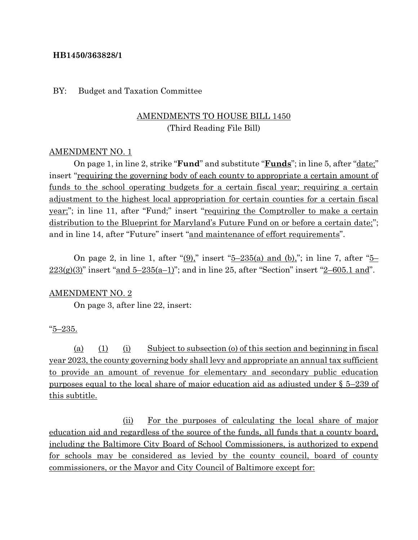### **HB1450/363828/1**

### BY: Budget and Taxation Committee

## AMENDMENTS TO HOUSE BILL 1450 (Third Reading File Bill)

### AMENDMENT NO. 1

On page 1, in line 2, strike "**Fund**" and substitute "**Funds**"; in line 5, after "date;" insert "requiring the governing body of each county to appropriate a certain amount of funds to the school operating budgets for a certain fiscal year; requiring a certain adjustment to the highest local appropriation for certain counties for a certain fiscal year;"; in line 11, after "Fund;" insert "requiring the Comptroller to make a certain distribution to the Blueprint for Maryland's Future Fund on or before a certain date;"; and in line 14, after "Future" insert "and maintenance of effort requirements".

On page 2, in line 1, after " $(9)$ ," insert " $5-235(a)$  and  $(b)$ ,"; in line 7, after " $5 223(g)(3)$ " insert "and  $5-235(a-1)$ "; and in line 25, after "Section" insert " $2-605.1$  and".

#### AMENDMENT NO. 2

On page 3, after line 22, insert:

#### "5–235.

(a) (1) (i) Subject to subsection (o) of this section and beginning in fiscal year 2023, the county governing body shall levy and appropriate an annual tax sufficient to provide an amount of revenue for elementary and secondary public education purposes equal to the local share of major education aid as adjusted under § 5–239 of this subtitle.

(ii) For the purposes of calculating the local share of major education aid and regardless of the source of the funds, all funds that a county board, including the Baltimore City Board of School Commissioners, is authorized to expend for schools may be considered as levied by the county council, board of county commissioners, or the Mayor and City Council of Baltimore except for: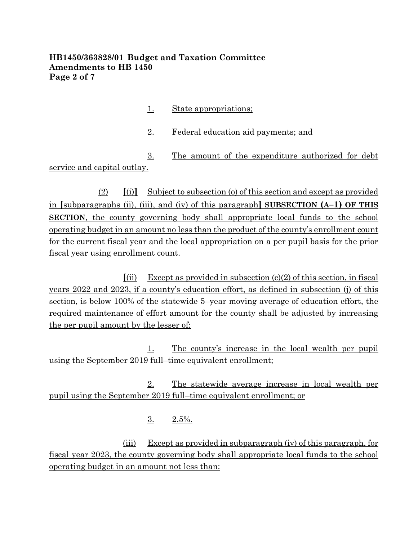## **HB1450/363828/01 Budget and Taxation Committee Amendments to HB 1450 Page 2 of 7**

- 1. State appropriations;
- 2. Federal education aid payments; and

3. The amount of the expenditure authorized for debt service and capital outlay.

(2) **[**(i)**]** Subject to subsection (o) of this section and except as provided in **[**subparagraphs (ii), (iii), and (iv) of this paragraph**] SUBSECTION (A–1) OF THIS SECTION**, the county governing body shall appropriate local funds to the school operating budget in an amount no less than the product of the county's enrollment count for the current fiscal year and the local appropriation on a per pupil basis for the prior fiscal year using enrollment count.

 $\int$ (ii) Except as provided in subsection (c)(2) of this section, in fiscal years 2022 and 2023, if a county's education effort, as defined in subsection (j) of this section, is below 100% of the statewide 5–year moving average of education effort, the required maintenance of effort amount for the county shall be adjusted by increasing the per pupil amount by the lesser of:

1. The county's increase in the local wealth per pupil using the September 2019 full–time equivalent enrollment;

2. The statewide average increase in local wealth per pupil using the September 2019 full–time equivalent enrollment; or

 $3. \quad 2.5\%$ .

(iii) Except as provided in subparagraph (iv) of this paragraph, for fiscal year 2023, the county governing body shall appropriate local funds to the school operating budget in an amount not less than: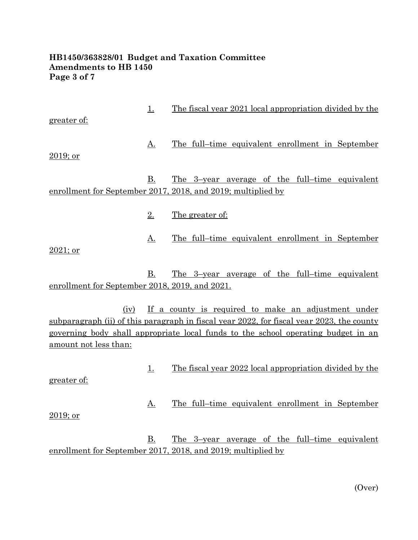## **HB1450/363828/01 Budget and Taxation Committee Amendments to HB 1450 Page 3 of 7**

| greater of:                                                                                                                                                                                                                                                            | <u>1.</u> | <u>The fiscal year 2021 local appropriation divided by the</u>                                                        |
|------------------------------------------------------------------------------------------------------------------------------------------------------------------------------------------------------------------------------------------------------------------------|-----------|-----------------------------------------------------------------------------------------------------------------------|
| $2019$ ; or                                                                                                                                                                                                                                                            | <u>A.</u> | The full-time equivalent enrollment in September                                                                      |
|                                                                                                                                                                                                                                                                        | <u>B.</u> | <u>The 3-year average of the full-time equivalent</u><br>enrollment for September 2017, 2018, and 2019; multiplied by |
|                                                                                                                                                                                                                                                                        | 2.        | <u>The greater of:</u>                                                                                                |
| $2021$ ; or                                                                                                                                                                                                                                                            | <u>A.</u> | <u>The full-time equivalent enrollment in September</u>                                                               |
| enrollment for September 2018, 2019, and 2021.                                                                                                                                                                                                                         | B.        | <u>The 3-year average of the full-time equivalent</u>                                                                 |
| If a county is required to make an adjustment under<br>(iv)<br>subparagraph (ii) of this paragraph in fiscal year 2022, for fiscal year 2023, the county<br>governing body shall appropriate local funds to the school operating budget in an<br>amount not less than: |           |                                                                                                                       |
| greater of:                                                                                                                                                                                                                                                            | <u>1.</u> | <u>The fiscal year 2022 local appropriation divided by the</u>                                                        |
| 2019; or                                                                                                                                                                                                                                                               | <u>A.</u> | The full-time equivalent enrollment in September                                                                      |
|                                                                                                                                                                                                                                                                        | B.        | <u>The 3-year average of the full-time equivalent</u><br>enrollment for September 2017, 2018, and 2019; multiplied by |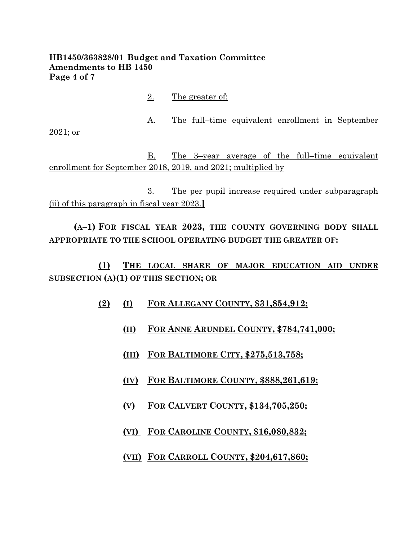## **HB1450/363828/01 Budget and Taxation Committee Amendments to HB 1450 Page 4 of 7**

2. The greater of: A. The full–time equivalent enrollment in September 2021; or B. The 3–year average of the full–time equivalent enrollment for September 2018, 2019, and 2021; multiplied by 3. The per pupil increase required under subparagraph (ii) of this paragraph in fiscal year 2023.**]**

# **(A–1) FOR FISCAL YEAR 2023, THE COUNTY GOVERNING BODY SHALL APPROPRIATE TO THE SCHOOL OPERATING BUDGET THE GREATER OF:**

**(1) THE LOCAL SHARE OF MAJOR EDUCATION AID UNDER SUBSECTION (A)(1) OF THIS SECTION; OR**

- **(2) (I) FOR ALLEGANY COUNTY, \$31,854,912;**
	- **(II) FOR ANNE ARUNDEL COUNTY, \$784,741,000;**
	- **(III) FOR BALTIMORE CITY, \$275,513,758;**
	- **(IV) FOR BALTIMORE COUNTY, \$888,261,619;**
	- **(V) FOR CALVERT COUNTY, \$134,705,250;**
	- **(VI) FOR CAROLINE COUNTY, \$16,080,832;**
	- **(VII) FOR CARROLL COUNTY, \$204,617,860;**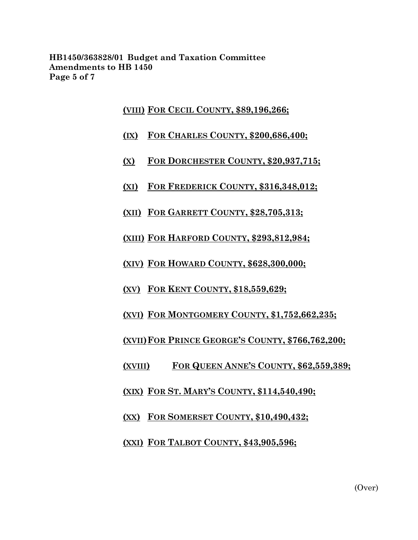**HB1450/363828/01 Budget and Taxation Committee Amendments to HB 1450 Page 5 of 7**

### **(VIII) FOR CECIL COUNTY, \$89,196,266;**

- **(IX) FOR CHARLES COUNTY, \$200,686,400;**
- **(X) FOR DORCHESTER COUNTY, \$20,937,715;**
- **(XI) FOR FREDERICK COUNTY, \$316,348,012;**
- **(XII) FOR GARRETT COUNTY, \$28,705,313;**
- **(XIII) FOR HARFORD COUNTY, \$293,812,984;**
- **(XIV) FOR HOWARD COUNTY, \$628,300,000;**
- **(XV) FOR KENT COUNTY, \$18,559,629;**
- **(XVI) FOR MONTGOMERY COUNTY, \$1,752,662,235;**
- **(XVII)FOR PRINCE GEORGE'S COUNTY, \$766,762,200;**
- **(XVIII) FOR QUEEN ANNE'S COUNTY, \$62,559,389;**
- **(XIX) FOR ST. MARY'S COUNTY, \$114,540,490;**
- **(XX) FOR SOMERSET COUNTY, \$10,490,432;**
- **(XXI) FOR TALBOT COUNTY, \$43,905,596;**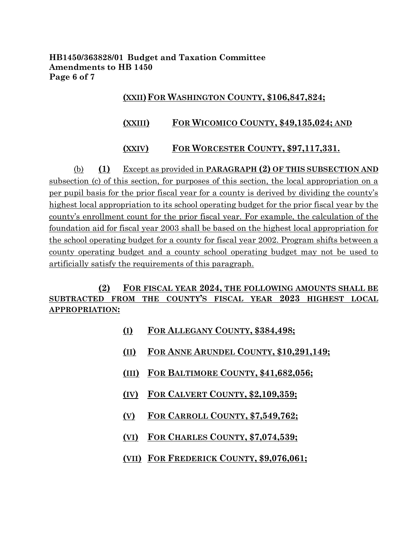**HB1450/363828/01 Budget and Taxation Committee Amendments to HB 1450 Page 6 of 7**

## **(XXII)FOR WASHINGTON COUNTY, \$106,847,824;**

## **(XXIII) FOR WICOMICO COUNTY, \$49,135,024; AND**

## **(XXIV) FOR WORCESTER COUNTY, \$97,117,331.**

(b) **(1)** Except as provided in **PARAGRAPH (2) OF THIS SUBSECTION AND**  subsection (c) of this section, for purposes of this section, the local appropriation on a per pupil basis for the prior fiscal year for a county is derived by dividing the county's highest local appropriation to its school operating budget for the prior fiscal year by the county's enrollment count for the prior fiscal year. For example, the calculation of the foundation aid for fiscal year 2003 shall be based on the highest local appropriation for the school operating budget for a county for fiscal year 2002. Program shifts between a county operating budget and a county school operating budget may not be used to artificially satisfy the requirements of this paragraph.

# **(2) FOR FISCAL YEAR 2024, THE FOLLOWING AMOUNTS SHALL BE SUBTRACTED FROM THE COUNTY'S FISCAL YEAR 2023 HIGHEST LOCAL APPROPRIATION:**

- **(I) FOR ALLEGANY COUNTY, \$384,498;**
- **(II) FOR ANNE ARUNDEL COUNTY, \$10,291,149;**
- **(III) FOR BALTIMORE COUNTY, \$41,682,056;**
- **(IV) FOR CALVERT COUNTY, \$2,109,359;**
- **(V) FOR CARROLL COUNTY, \$7,549,762;**
- **(VI) FOR CHARLES COUNTY, \$7,074,539;**
- **(VII) FOR FREDERICK COUNTY, \$9,076,061;**